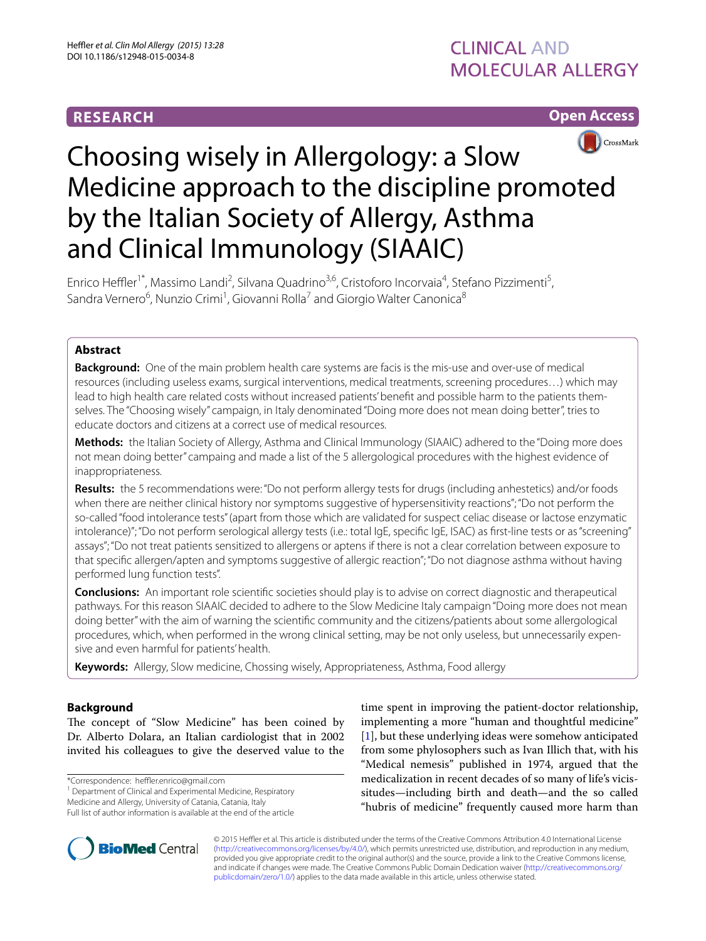# **RESEARCH**



# CrossMark Choosing wisely in Allergology: a Slow Medicine approach to the discipline promoted by the Italian Society of Allergy, Asthma and Clinical Immunology (SIAAIC)

Enrico Heffler<sup>1\*</sup>, Massimo Landi<sup>2</sup>, Silvana Quadrino<sup>3,6</sup>, Cristoforo Incorvaia<sup>4</sup>, Stefano Pizzimenti<sup>5</sup>, Sandra Vernero<sup>6</sup>, Nunzio Crimi<sup>1</sup>, Giovanni Rolla<sup>7</sup> and Giorgio Walter Canonica<sup>8</sup>

## **Abstract**

**Background:** One of the main problem health care systems are facis is the mis-use and over-use of medical resources (including useless exams, surgical interventions, medical treatments, screening procedures…) which may lead to high health care related costs without increased patients' benefit and possible harm to the patients themselves. The "Choosing wisely" campaign, in Italy denominated "Doing more does not mean doing better", tries to educate doctors and citizens at a correct use of medical resources.

**Methods:** the Italian Society of Allergy, Asthma and Clinical Immunology (SIAAIC) adhered to the "Doing more does not mean doing better" campaing and made a list of the 5 allergological procedures with the highest evidence of inappropriateness.

**Results:** the 5 recommendations were: "Do not perform allergy tests for drugs (including anhestetics) and/or foods when there are neither clinical history nor symptoms suggestive of hypersensitivity reactions"; "Do not perform the so-called "food intolerance tests" (apart from those which are validated for suspect celiac disease or lactose enzymatic intolerance)"; "Do not perform serological allergy tests (i.e.: total IgE, specific IgE, ISAC) as first-line tests or as "screening" assays"; "Do not treat patients sensitized to allergens or aptens if there is not a clear correlation between exposure to that specific allergen/apten and symptoms suggestive of allergic reaction"; "Do not diagnose asthma without having performed lung function tests".

**Conclusions:** An important role scientific societies should play is to advise on correct diagnostic and therapeutical pathways. For this reason SIAAIC decided to adhere to the Slow Medicine Italy campaign "Doing more does not mean doing better" with the aim of warning the scientific community and the citizens/patients about some allergological procedures, which, when performed in the wrong clinical setting, may be not only useless, but unnecessarily expensive and even harmful for patients' health.

**Keywords:** Allergy, Slow medicine, Chossing wisely, Appropriateness, Asthma, Food allergy

## **Background**

The concept of "Slow Medicine" has been coined by Dr. Alberto Dolara, an Italian cardiologist that in 2002 invited his colleagues to give the deserved value to the

\*Correspondence: heffler.enrico@gmail.com

<sup>1</sup> Department of Clinical and Experimental Medicine, Respiratory

Medicine and Allergy, University of Catania, Catania, Italy

time spent in improving the patient-doctor relationship, implementing a more "human and thoughtful medicine" [[1\]](#page-3-0), but these underlying ideas were somehow anticipated from some phylosophers such as Ivan Illich that, with his "Medical nemesis" published in 1974, argued that the medicalization in recent decades of so many of life's vicissitudes—including birth and death—and the so called "hubris of medicine" frequently caused more harm than



© 2015 Heffler et al. This article is distributed under the terms of the Creative Commons Attribution 4.0 International License [\(http://creativecommons.org/licenses/by/4.0/\)](http://creativecommons.org/licenses/by/4.0/), which permits unrestricted use, distribution, and reproduction in any medium, provided you give appropriate credit to the original author(s) and the source, provide a link to the Creative Commons license, and indicate if changes were made. The Creative Commons Public Domain Dedication waiver ([http://creativecommons.org/](http://creativecommons.org/publicdomain/zero/1.0/) [publicdomain/zero/1.0/](http://creativecommons.org/publicdomain/zero/1.0/)) applies to the data made available in this article, unless otherwise stated.

Full list of author information is available at the end of the article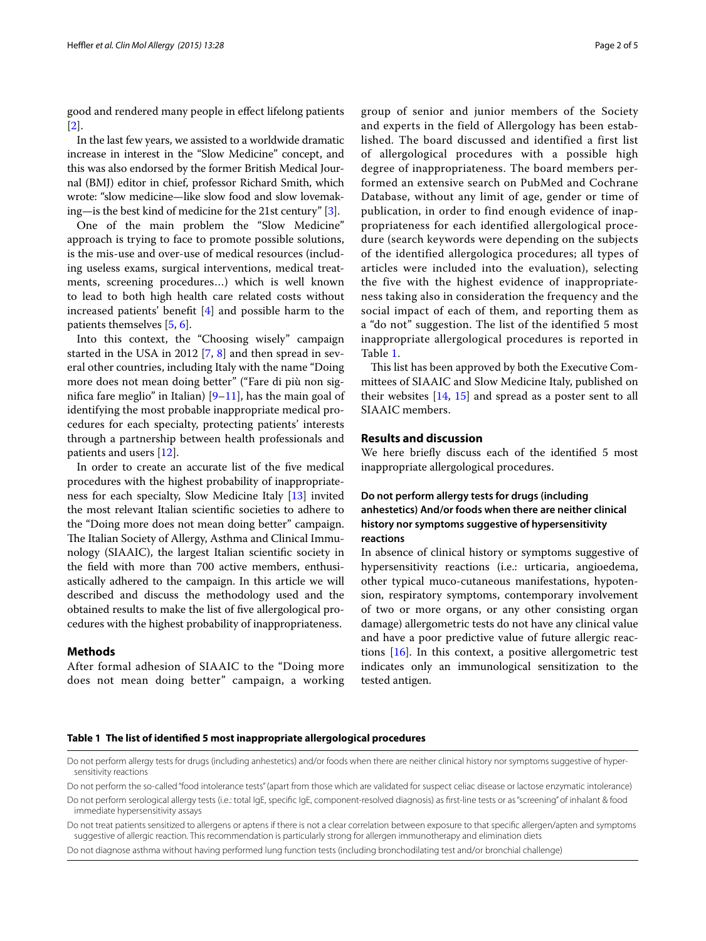good and rendered many people in effect lifelong patients [[2\]](#page-3-1).

In the last few years, we assisted to a worldwide dramatic increase in interest in the "Slow Medicine" concept, and this was also endorsed by the former British Medical Journal (BMJ) editor in chief, professor Richard Smith, which wrote: "slow medicine—like slow food and slow lovemaking—is the best kind of medicine for the 21st century" [[3\]](#page-3-2).

One of the main problem the "Slow Medicine" approach is trying to face to promote possible solutions, is the mis-use and over-use of medical resources (including useless exams, surgical interventions, medical treatments, screening procedures…) which is well known to lead to both high health care related costs without increased patients' benefit [[4\]](#page-3-3) and possible harm to the patients themselves [\[5,](#page-3-4) [6](#page-4-0)].

Into this context, the "Choosing wisely" campaign started in the USA in 2012 [\[7](#page-4-1), [8\]](#page-4-2) and then spread in several other countries, including Italy with the name "Doing more does not mean doing better" ("Fare di più non significa fare meglio" in Italian)  $[9-11]$  $[9-11]$ , has the main goal of identifying the most probable inappropriate medical procedures for each specialty, protecting patients' interests through a partnership between health professionals and patients and users [[12\]](#page-4-5).

In order to create an accurate list of the five medical procedures with the highest probability of inappropriateness for each specialty, Slow Medicine Italy [[13\]](#page-4-6) invited the most relevant Italian scientific societies to adhere to the "Doing more does not mean doing better" campaign. The Italian Society of Allergy, Asthma and Clinical Immunology (SIAAIC), the largest Italian scientific society in the field with more than 700 active members, enthusiastically adhered to the campaign. In this article we will described and discuss the methodology used and the obtained results to make the list of five allergological procedures with the highest probability of inappropriateness.

#### **Methods**

After formal adhesion of SIAAIC to the "Doing more does not mean doing better" campaign, a working

group of senior and junior members of the Society and experts in the field of Allergology has been established. The board discussed and identified a first list of allergological procedures with a possible high degree of inappropriateness. The board members performed an extensive search on PubMed and Cochrane Database, without any limit of age, gender or time of publication, in order to find enough evidence of inappropriateness for each identified allergological procedure (search keywords were depending on the subjects

of the identified allergologica procedures; all types of articles were included into the evaluation), selecting the five with the highest evidence of inappropriateness taking also in consideration the frequency and the social impact of each of them, and reporting them as a "do not" suggestion. The list of the identified 5 most inappropriate allergological procedures is reported in Table [1.](#page-1-0)

This list has been approved by both the Executive Committees of SIAAIC and Slow Medicine Italy, published on their websites [\[14](#page-4-7), [15\]](#page-4-8) and spread as a poster sent to all SIAAIC members.

#### **Results and discussion**

We here briefly discuss each of the identified 5 most inappropriate allergological procedures.

## **Do not perform allergy tests for drugs (including anhestetics) And/or foods when there are neither clinical history nor symptoms suggestive of hypersensitivity reactions**

In absence of clinical history or symptoms suggestive of hypersensitivity reactions (i.e.: urticaria, angioedema, other typical muco-cutaneous manifestations, hypotension, respiratory symptoms, contemporary involvement of two or more organs, or any other consisting organ damage) allergometric tests do not have any clinical value and have a poor predictive value of future allergic reactions [\[16](#page-4-9)]. In this context, a positive allergometric test indicates only an immunological sensitization to the tested antigen.

#### <span id="page-1-0"></span>**Table 1 The list of identified 5 most inappropriate allergological procedures**

Do not perform serological allergy tests (i.e.: total IgE, specific IgE, component-resolved diagnosis) as first-line tests or as "screening" of inhalant & food immediate hypersensitivity assays

Do not treat patients sensitized to allergens or aptens if there is not a clear correlation between exposure to that specific allergen/apten and symptoms suggestive of allergic reaction. This recommendation is particularly strong for allergen immunotherapy and elimination diets

Do not diagnose asthma without having performed lung function tests (including bronchodilating test and/or bronchial challenge)

Do not perform allergy tests for drugs (including anhestetics) and/or foods when there are neither clinical history nor symptoms suggestive of hypersensitivity reactions

Do not perform the so-called "food intolerance tests" (apart from those which are validated for suspect celiac disease or lactose enzymatic intolerance)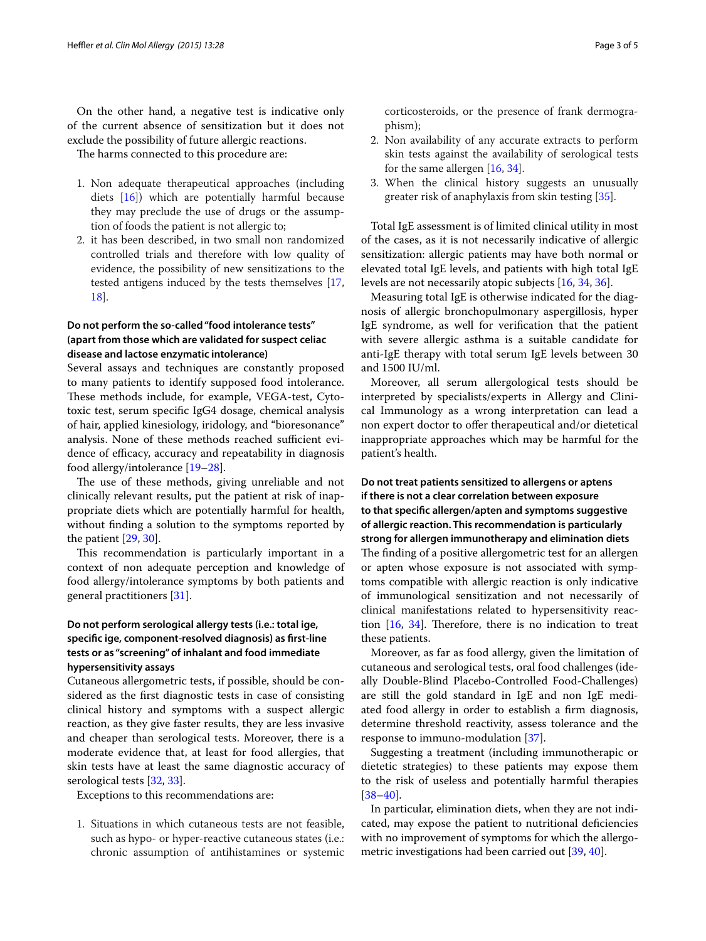On the other hand, a negative test is indicative only of the current absence of sensitization but it does not exclude the possibility of future allergic reactions.

The harms connected to this procedure are:

- 1. Non adequate therapeutical approaches (including diets [\[16](#page-4-9)]) which are potentially harmful because they may preclude the use of drugs or the assumption of foods the patient is not allergic to;
- 2. it has been described, in two small non randomized controlled trials and therefore with low quality of evidence, the possibility of new sensitizations to the tested antigens induced by the tests themselves [[17](#page-4-10), [18](#page-4-11)].

## **Do not perform the so‑called "food intolerance tests" (apart from those which are validated for suspect celiac disease and lactose enzymatic intolerance)**

Several assays and techniques are constantly proposed to many patients to identify supposed food intolerance. These methods include, for example, VEGA-test, Cytotoxic test, serum specific IgG4 dosage, chemical analysis of hair, applied kinesiology, iridology, and "bioresonance" analysis. None of these methods reached sufficient evidence of efficacy, accuracy and repeatability in diagnosis food allergy/intolerance [[19–](#page-4-12)[28](#page-4-13)].

The use of these methods, giving unreliable and not clinically relevant results, put the patient at risk of inappropriate diets which are potentially harmful for health, without finding a solution to the symptoms reported by the patient [\[29](#page-4-14), [30](#page-4-15)].

This recommendation is particularly important in a context of non adequate perception and knowledge of food allergy/intolerance symptoms by both patients and general practitioners [[31\]](#page-4-16).

## **Do not perform serological allergy tests (i.e.: total ige, specific ige, component‑resolved diagnosis) as first‑line tests or as "screening" of inhalant and food immediate hypersensitivity assays**

Cutaneous allergometric tests, if possible, should be considered as the first diagnostic tests in case of consisting clinical history and symptoms with a suspect allergic reaction, as they give faster results, they are less invasive and cheaper than serological tests. Moreover, there is a moderate evidence that, at least for food allergies, that skin tests have at least the same diagnostic accuracy of serological tests [\[32,](#page-4-17) [33](#page-4-18)].

Exceptions to this recommendations are:

1. Situations in which cutaneous tests are not feasible, such as hypo- or hyper-reactive cutaneous states (i.e.: chronic assumption of antihistamines or systemic corticosteroids, or the presence of frank dermographism);

- 2. Non availability of any accurate extracts to perform skin tests against the availability of serological tests for the same allergen [[16](#page-4-9), [34](#page-4-19)].
- 3. When the clinical history suggests an unusually greater risk of anaphylaxis from skin testing [\[35\]](#page-4-20).

Total IgE assessment is of limited clinical utility in most of the cases, as it is not necessarily indicative of allergic sensitization: allergic patients may have both normal or elevated total IgE levels, and patients with high total IgE levels are not necessarily atopic subjects [\[16](#page-4-9), [34,](#page-4-19) [36\]](#page-4-21).

Measuring total IgE is otherwise indicated for the diagnosis of allergic bronchopulmonary aspergillosis, hyper IgE syndrome, as well for verification that the patient with severe allergic asthma is a suitable candidate for anti-IgE therapy with total serum IgE levels between 30 and 1500 IU/ml.

Moreover, all serum allergological tests should be interpreted by specialists/experts in Allergy and Clinical Immunology as a wrong interpretation can lead a non expert doctor to offer therapeutical and/or dietetical inappropriate approaches which may be harmful for the patient's health.

**Do not treat patients sensitized to allergens or aptens if there is not a clear correlation between exposure to that specific allergen/apten and symptoms suggestive of allergic reaction. This recommendation is particularly strong for allergen immunotherapy and elimination diets** The finding of a positive allergometric test for an allergen or apten whose exposure is not associated with symptoms compatible with allergic reaction is only indicative of immunological sensitization and not necessarily of clinical manifestations related to hypersensitivity reaction [[16](#page-4-9), [34\]](#page-4-19). Therefore, there is no indication to treat these patients.

Moreover, as far as food allergy, given the limitation of cutaneous and serological tests, oral food challenges (ideally Double-Blind Placebo-Controlled Food-Challenges) are still the gold standard in IgE and non IgE mediated food allergy in order to establish a firm diagnosis, determine threshold reactivity, assess tolerance and the response to immuno-modulation [[37](#page-4-22)].

Suggesting a treatment (including immunotherapic or dietetic strategies) to these patients may expose them to the risk of useless and potentially harmful therapies [[38–](#page-4-23)[40\]](#page-4-24).

In particular, elimination diets, when they are not indicated, may expose the patient to nutritional deficiencies with no improvement of symptoms for which the allergometric investigations had been carried out [[39](#page-4-25), [40\]](#page-4-24).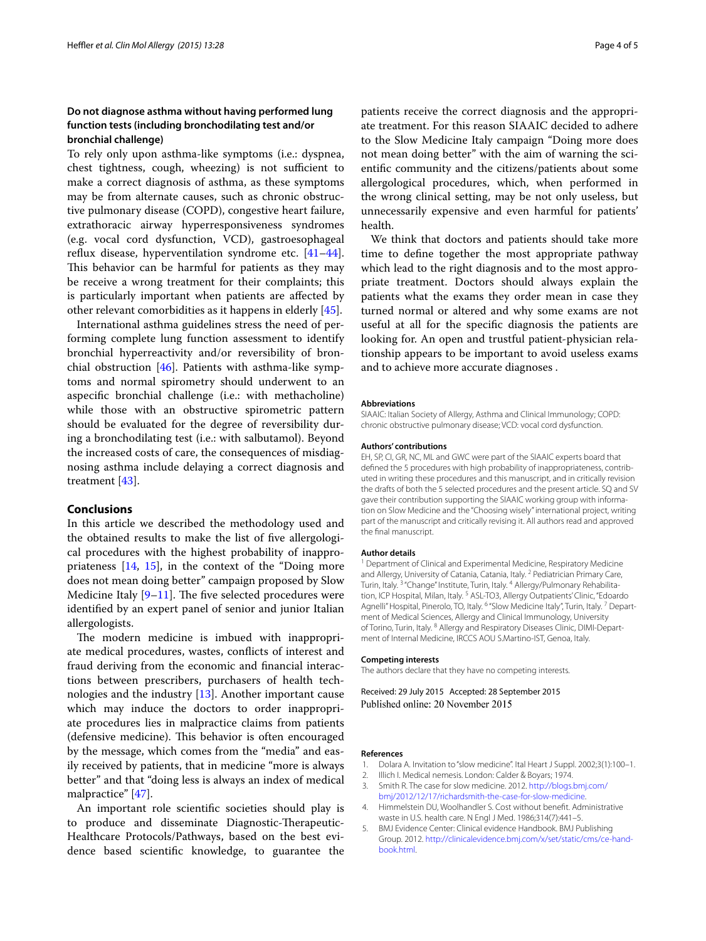## **Do not diagnose asthma without having performed lung function tests (including bronchodilating test and/or bronchial challenge)**

To rely only upon asthma-like symptoms (i.e.: dyspnea, chest tightness, cough, wheezing) is not sufficient to make a correct diagnosis of asthma, as these symptoms may be from alternate causes, such as chronic obstructive pulmonary disease (COPD), congestive heart failure, extrathoracic airway hyperresponsiveness syndromes (e.g. vocal cord dysfunction, VCD), gastroesophageal reflux disease, hyperventilation syndrome etc. [[41](#page-4-26)[–44](#page-4-27)]. This behavior can be harmful for patients as they may be receive a wrong treatment for their complaints; this is particularly important when patients are affected by other relevant comorbidities as it happens in elderly [[45\]](#page-4-28).

International asthma guidelines stress the need of performing complete lung function assessment to identify bronchial hyperreactivity and/or reversibility of bronchial obstruction [[46\]](#page-4-29). Patients with asthma-like symptoms and normal spirometry should underwent to an aspecific bronchial challenge (i.e.: with methacholine) while those with an obstructive spirometric pattern should be evaluated for the degree of reversibility during a bronchodilating test (i.e.: with salbutamol). Beyond the increased costs of care, the consequences of misdiagnosing asthma include delaying a correct diagnosis and treatment [[43](#page-4-30)].

### **Conclusions**

In this article we described the methodology used and the obtained results to make the list of five allergological procedures with the highest probability of inappropriateness [[14](#page-4-7), [15\]](#page-4-8), in the context of the "Doing more does not mean doing better" campaign proposed by Slow Medicine Italy [\[9](#page-4-3)–[11\]](#page-4-4). The five selected procedures were identified by an expert panel of senior and junior Italian allergologists.

The modern medicine is imbued with inappropriate medical procedures, wastes, conflicts of interest and fraud deriving from the economic and financial interactions between prescribers, purchasers of health technologies and the industry  $[13]$ . Another important cause which may induce the doctors to order inappropriate procedures lies in malpractice claims from patients (defensive medicine). This behavior is often encouraged by the message, which comes from the "media" and easily received by patients, that in medicine "more is always better" and that "doing less is always an index of medical malpractice" [[47\]](#page-4-31).

An important role scientific societies should play is to produce and disseminate Diagnostic-Therapeutic-Healthcare Protocols/Pathways, based on the best evidence based scientific knowledge, to guarantee the

patients receive the correct diagnosis and the appropriate treatment. For this reason SIAAIC decided to adhere to the Slow Medicine Italy campaign "Doing more does not mean doing better" with the aim of warning the scientific community and the citizens/patients about some allergological procedures, which, when performed in the wrong clinical setting, may be not only useless, but unnecessarily expensive and even harmful for patients' health.

We think that doctors and patients should take more time to define together the most appropriate pathway which lead to the right diagnosis and to the most appropriate treatment. Doctors should always explain the patients what the exams they order mean in case they turned normal or altered and why some exams are not useful at all for the specific diagnosis the patients are looking for. An open and trustful patient-physician relationship appears to be important to avoid useless exams and to achieve more accurate diagnoses .

#### **Abbreviations**

SIAAIC: Italian Society of Allergy, Asthma and Clinical Immunology; COPD: chronic obstructive pulmonary disease; VCD: vocal cord dysfunction.

#### **Authors' contributions**

EH, SP, CI, GR, NC, ML and GWC were part of the SIAAIC experts board that defined the 5 procedures with high probability of inappropriateness, contributed in writing these procedures and this manuscript, and in critically revision the drafts of both the 5 selected procedures and the present article. SQ and SV gave their contribution supporting the SIAAIC working group with information on Slow Medicine and the "Choosing wisely" international project, writing part of the manuscript and critically revising it. All authors read and approved the final manuscript.

#### **Author details**

<sup>1</sup> Department of Clinical and Experimental Medicine, Respiratory Medicine and Allergy, University of Catania, Catania, Italy.<sup>2</sup> Pediatrician Primary Care, Turin, Italy.<sup>3</sup> "Change" Institute, Turin, Italy. <sup>4</sup> Allergy/Pulmonary Rehabilitation, ICP Hospital, Milan, Italy. 5 ASL-TO3, Allergy Outpatients' Clinic, "Edoardo Agnelli" Hospital, Pinerolo, TO, Italy. <sup>6</sup> "Slow Medicine Italy", Turin, Italy. <sup>7</sup> Department of Medical Sciences, Allergy and Clinical Immunology, University of Torino, Turin, Italy. <sup>8</sup> Allergy and Respiratory Diseases Clinic, DIMI-Department of Internal Medicine, IRCCS AOU S.Martino-IST, Genoa, Italy.

#### **Competing interests**

The authors declare that they have no competing interests.

Received: 29 July 2015 Accepted: 28 September 2015 Published online: 20 November 2015

#### **References**

- <span id="page-3-0"></span>1. Dolara A. Invitation to "slow medicine". Ital Heart J Suppl. 2002;3(1):100–1.
- <span id="page-3-1"></span>2. Illich I. Medical nemesis. London: Calder & Boyars; 1974.
- <span id="page-3-2"></span>3. Smith R. The case for slow medicine. 2012. [http://blogs.bmj.com/](http://blogs.bmj.com/bmj/2012/12/17/richardsmith-the-case-for-slow-medicine) [bmj/2012/12/17/richardsmith-the-case-for-slow-medicine.](http://blogs.bmj.com/bmj/2012/12/17/richardsmith-the-case-for-slow-medicine)
- <span id="page-3-3"></span>4. Himmelstein DU, Woolhandler S. Cost without benefit. Administrative waste in U.S. health care. N Engl J Med. 1986;314(7):441–5.
- <span id="page-3-4"></span>5. BMJ Evidence Center: Clinical evidence Handbook. BMJ Publishing Group. 2012. [http://clinicalevidence.bmj.com/x/set/static/cms/ce-hand](http://clinicalevidence.bmj.com/x/set/static/cms/ce-handbook.html)[book.html](http://clinicalevidence.bmj.com/x/set/static/cms/ce-handbook.html).